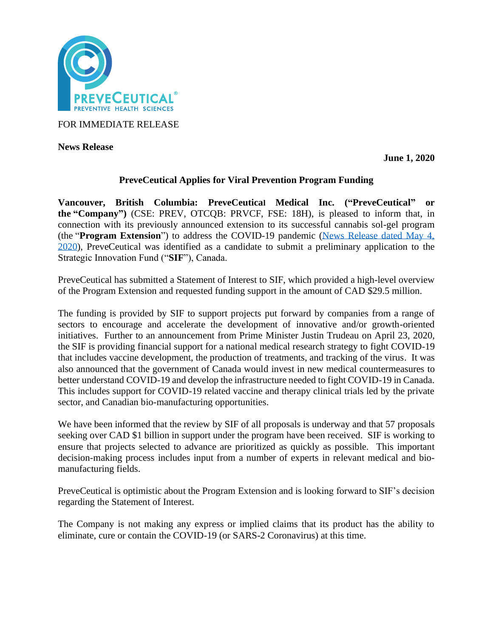

FOR IMMEDIATE RELEASE

**News Release** 

**June 1, 2020**

## **PreveCeutical Applies for Viral Prevention Program Funding**

**Vancouver, British Columbia: PreveCeutical Medical Inc. ("PreveCeutical" or the "Company")** (CSE: PREV, OTCQB: PRVCF, FSE: 18H), is pleased to inform that, in connection with its previously announced extension to its successful cannabis sol-gel program (the "**Program Extension**") to address the COVID-19 pandemic [\(News Release dated May 4,](https://www.preveceutical.com/investors/news/preveceutical-announces-possible-viral-prevention-program-using-cbd-sol-gel)  [2020\)](https://www.preveceutical.com/investors/news/preveceutical-announces-possible-viral-prevention-program-using-cbd-sol-gel), PreveCeutical was identified as a candidate to submit a preliminary application to the Strategic Innovation Fund ("**SIF**"), Canada.

PreveCeutical has submitted a Statement of Interest to SIF, which provided a high-level overview of the Program Extension and requested funding support in the amount of CAD \$29.5 million.

The funding is provided by SIF to support projects put forward by companies from a range of sectors to encourage and accelerate the development of innovative and/or growth-oriented initiatives. Further to an announcement from Prime Minister Justin Trudeau on April 23, 2020, the SIF is providing financial support for a national medical research strategy to fight COVID-19 that includes vaccine development, the production of treatments, and tracking of the virus. It was also announced that the government of Canada would invest in new medical countermeasures to better understand COVID-19 and develop the infrastructure needed to fight COVID-19 in Canada. This includes support for COVID-19 related vaccine and therapy clinical trials led by the private sector, and Canadian bio-manufacturing opportunities.

We have been informed that the review by SIF of all proposals is underway and that 57 proposals seeking over CAD \$1 billion in support under the program have been received. SIF is working to ensure that projects selected to advance are prioritized as quickly as possible. This important decision-making process includes input from a number of experts in relevant medical and biomanufacturing fields.

PreveCeutical is optimistic about the Program Extension and is looking forward to SIF's decision regarding the Statement of Interest.

The Company is not making any express or implied claims that its product has the ability to eliminate, cure or contain the COVID-19 (or SARS-2 Coronavirus) at this time.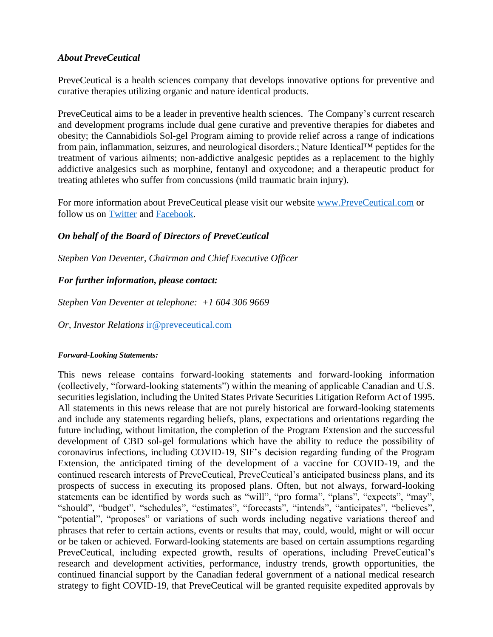## *About PreveCeutical*

PreveCeutical is a health sciences company that develops innovative options for preventive and curative therapies utilizing organic and nature identical products.

PreveCeutical aims to be a leader in preventive health sciences. The Company's current research and development programs include dual gene curative and preventive therapies for diabetes and obesity; the Cannabidiols Sol-gel Program aiming to provide relief across a range of indications from pain, inflammation, seizures, and neurological disorders.; Nature Identical™ peptides for the treatment of various ailments; non-addictive analgesic peptides as a replacement to the highly addictive analgesics such as morphine, fentanyl and oxycodone; and a therapeutic product for treating athletes who suffer from concussions (mild traumatic brain injury).

For more information about PreveCeutical please visit our website [www.PreveCeutical.com](http://www.preveceutical.com/) or follow us on [Twitter](http://twitter.com/PreveCeuticals) and [Facebook.](http://www.facebook.com/PreveCeutical)

## *On behalf of the Board of Directors of PreveCeutical*

*Stephen Van Deventer, Chairman and Chief Executive Officer*

# *For further information, please contact:*

*Stephen Van Deventer at telephone: +1 604 306 9669*

*Or, Investor Relations* [ir@preveceutical.com](mailto:ir@preveceutical.com)

## *Forward-Looking Statements:*

This news release contains forward-looking statements and forward-looking information (collectively, "forward-looking statements") within the meaning of applicable Canadian and U.S. securities legislation, including the United States Private Securities Litigation Reform Act of 1995. All statements in this news release that are not purely historical are forward-looking statements and include any statements regarding beliefs, plans, expectations and orientations regarding the future including, without limitation, the completion of the Program Extension and the successful development of CBD sol-gel formulations which have the ability to reduce the possibility of coronavirus infections, including COVID-19, SIF's decision regarding funding of the Program Extension, the anticipated timing of the development of a vaccine for COVID-19, and the continued research interests of PreveCeutical, PreveCeutical's anticipated business plans, and its prospects of success in executing its proposed plans. Often, but not always, forward-looking statements can be identified by words such as "will", "pro forma", "plans", "expects", "may", "should", "budget", "schedules", "estimates", "forecasts", "intends", "anticipates", "believes", "potential", "proposes" or variations of such words including negative variations thereof and phrases that refer to certain actions, events or results that may, could, would, might or will occur or be taken or achieved. Forward-looking statements are based on certain assumptions regarding PreveCeutical, including expected growth, results of operations, including PreveCeutical's research and development activities, performance, industry trends, growth opportunities, the continued financial support by the Canadian federal government of a national medical research strategy to fight COVID-19, that PreveCeutical will be granted requisite expedited approvals by